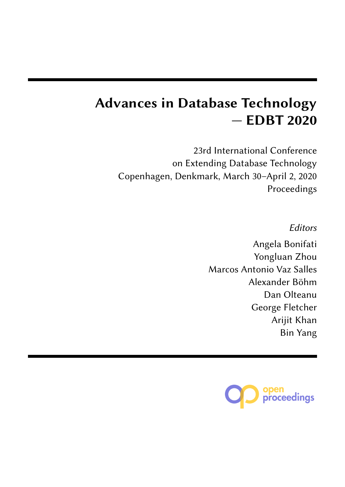# **Advances in Database Technology — EDBT 2020**

23rd International Conference on Extending Database Technology Copenhagen, Denkmark, March 30–April 2, 2020 Proceedings

Editors

Angela Bonifati Yongluan Zhou Marcos Antonio Vaz Salles Alexander Böhm Dan Olteanu George Fletcher Arijit Khan Bin Yang

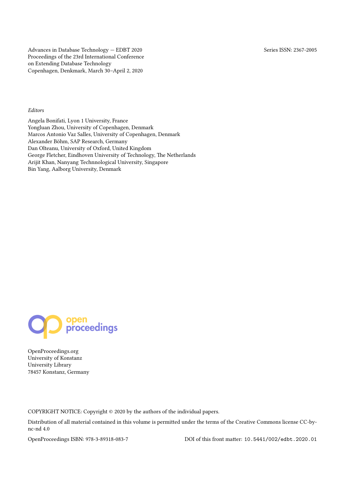Advances in Database Technology — EDBT 2020 Series ISSN: 2367-2005 Proceedings of the 23rd International Conference on Extending Database Technology Copenhagen, Denkmark, March 30–April 2, 2020

### *Editors*

Angela Bonifati, Lyon 1 University, France Yongluan Zhou, University of Copenhagen, Denmark Marcos Antonio Vaz Salles, University of Copenhagen, Denmark Alexander Böhm, SAP Research, Germany Dan Olteanu, University of Oxford, United Kingdom George Fletcher, Eindhoven University of Technology, The Netherlands Arijit Khan, Nanyang Technnological University, Singapore Bin Yang, Aalborg University, Denmark



OpenProceedings.org University of Konstanz University Library 78457 Konstanz, Germany

COPYRIGHT NOTICE: Copyright © 2020 by the authors of the individual papers.

Distribution of all material contained in this volume is permitted under the terms of the Creative Commons license CC-bync-nd 4.0

OpenProceedings ISBN: 978-3-89318-083-7 DOI of this front matter: [10.5441/002/edbt.2020.01](http://dx.doi.org/10.5441/002/edbt.2020.01)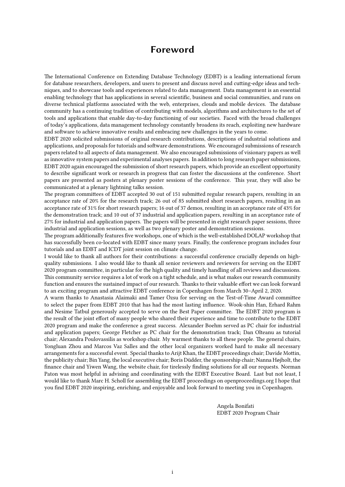### **Foreword**

<span id="page-2-0"></span>The International Conference on Extending Database Technology (EDBT) is a leading international forum for database researchers, developers, and users to present and discuss novel and cutting-edge ideas and techniques, and to showcase tools and experiences related to data management. Data management is an essential enabling technology that has applications in several scientific, business and social communities, and runs on diverse technical platforms associated with the web, enterprises, clouds and mobile devices. The database community has a continuing tradition of contributing with models, algorithms and architectures to the set of tools and applications that enable day-to-day functioning of our societies. Faced with the broad challenges of today's applications, data management technology constantly broadens its reach, exploiting new hardware and software to achieve innovative results and embracing new challenges in the years to come.

EDBT 2020 solicited submissions of original research contributions, descriptions of industrial solutions and applications, and proposals for tutorials and software demonstrations. We encouraged submissions of research papers related to all aspects of data management. We also encouraged submissions of visionary papers as well as innovative system papers and experimental analyses papers. In addition to long research paper submissions, EDBT 2020 again encouraged the submission of short research papers, which provide an excellent opportunity to describe significant work or research in progress that can foster the discussions at the conference. Short papers are presented as posters at plenary poster sessions of the conference. This year, they will also be communicated at a plenary lightning talks session.

The program committees of EDBT accepted 30 out of 151 submitted regular research papers, resulting in an acceptance rate of 20% for the research track; 26 out of 85 submitted short research papers, resulting in an acceptance rate of 31% for short research papers; 16 out of 37 demos, resulting in an acceptance rate of 43% for the demonstration track; and 10 out of 37 industrial and application papers, resulting in an acceptance rate of 27% for industrial and application papers. The papers will be presented in eight research paper sessions, three industrial and application sessions, as well as two plenary poster and demonstration sessions.

The program additionally features five workshops, one of which is the well-established DOLAP workshop that has successfully been co-located with EDBT since many years. Finally, the conference program includes four tutorials and an EDBT and ICDT joint session on climate change.

I would like to thank all authors for their contributions: a successful conference crucially depends on highquality submissions. I also would like to thank all senior reviewers and reviewers for serving on the EDBT 2020 program committee, in particular for the high quality and timely handling of all reviews and discussions. This community service requires a lot of work on a tight schedule, and is what makes our research community function and ensures the sustained impact of our research. Thanks to their valuable effort we can look forward to an exciting program and attractive EDBT conference in Copenhagen from March 30–April 2, 2020.

A warm thanks to Anastasia Alaimaki and Tamer Özsu for serving on the Test-of-Time Award committee to select the paper from EDBT 2010 that has had the most lasting influence. Wook-shin Han, Erhard Rahm and Nesime Tatbul generously accepted to serve on the Best Paper committee. The EDBT 2020 program is the result of the joint effort of many people who shared their experience and time to contribute to the EDBT 2020 program and make the conference a great success. Alexander Boehm served as PC chair for industrial and application papers; George Fletcher as PC chair for the demonstration track; Dan Olteanu as tutorial chair; Alexandra Poulovassilis as workshop chair. My warmest thanks to all these people. The general chairs, Yongluan Zhou and Marcos Vaz Salles and the other local organizers worked hard to make all necessary arrangements for a successful event. Special thanks to Arijt Khan, the EDBT proceedings chair; Davide Mottin, the publicity chair; Bin Yang, the local executive chair; Boris Düdder, the sponsorship chair; Nanna Højholt, the finance chair and Yiwen Wang, the website chair, for tirelessly finding solutions for all our requests. Norman Paton was most helpful in advising and coordinating with the EDBT Executive Board. Last but not least, I would like to thank Marc H. Scholl for assembling the EDBT proceedings on openproceedings.org I hope that you find EDBT 2020 inspiring, enriching, and enjoyable and look forward to meeting you in Copenhagen.

> Angela Bonifati EDBT 2020 Program Chair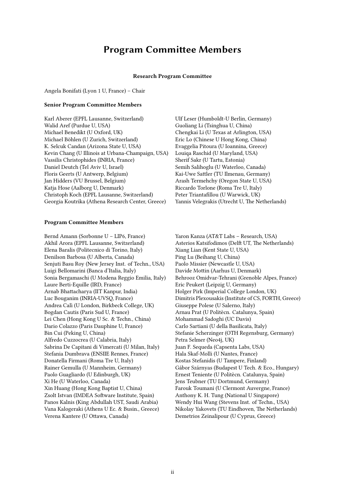### **Program Committee Members**

#### **Research Program Committee**

<span id="page-3-0"></span>Angela Bonifati (Lyon 1 U, France) – Chair

#### **Senior Program Committee Members**

Karl Aberer (EPFL Lausanne, Switzerland) Walid Aref (Purdue U, USA) Michael Benedikt (U Oxford, UK) Michael Böhlen (U Zurich, Switzerland) K. Selcuk Candan (Arizona State U, USA) Kevin Chang (U Illinois at Urbana-Champaign, USA) Vassilis Christophides (INRIA, France) Daniel Deutch (Tel Aviv U, Israel) Floris Geerts (U Antwerp, Belgium) Jan Hidders (VU Brussel, Belgium) Katja Hose (Aalborg U, Denmark) Christoph Koch (EPFL Lausanne, Switzerland) Georgia Koutrika (Athena Research Center, Greece)

#### **Program Committee Members**

Bernd Amann (Sorbonne U – LIP6, France) Akhil Arora (EPFL Lausanne, Switzerland) Elena Baralis (Politecnico di Torino, Italy) Denilson Barbosa (U Alberta, Canada) Senjuti Basu Roy (New Jersey Inst. of Techn., USA) Luigi Bellomarini (Banca d'Italia, Italy) Sonia Bergamaschi (U Modena Reggio Emilia, Italy) Laure Berti-Equille (IRD, France) Arnab Bhattacharya (IIT Kanpur, India) Luc Bouganim (INRIA-UVSQ, France) Andrea Calì (U London, Birkbeck College, UK) Bogdan Cautis (Paris Sud U, France) Lei Chen (Hong Kong U Sc. & Techn., China) Dario Colazzo (Paris Dauphine U, France) Bin Cui (Peking U, China) Alfredo Cuzzocrea (U Calabria, Italy) Sabrina De Capitani di Vimercati (U Milan, Italy) Stefania Dumbrava (ENSIIE Rennes, France) Donatella Firmani (Roma Tre U, Italy) Rainer Gemulla (U Mannheim, Germany) Paolo Guagliardo (U Edinburgh, UK) Xi He (U Waterloo, Canada) Xin Huang (Hong Kong Baptist U, China) Zsolt Istvan (IMDEA Software Institute, Spain) Panos Kalnis (King Abdullah UST, Saudi Arabia) Vana Kalogeraki (Athens U Ec. & Busin., Greece) Verena Kantere (U Ottawa, Canada)

Ulf Leser (Humboldt-U Berlin, Germany) Guoliang Li (Tsinghua U, China) Chengkai Li (U Texas at Arlington, USA) Eric Lo (Chinese U Hong Kong, China) Evaggelia Pitoura (U Ioannina, Greece) Louiqa Raschid (U Maryland, USA) Sherif Sakr (U Tartu, Estonia) Semih Salihoglu (U Waterloo, Canada) Kai-Uwe Sattler (TU Ilmenau, Germany) Arash Termehchy (Oregon State U, USA) Riccardo Torlone (Roma Tre U, Italy) Peter Triantafillou (U Warwick, UK) Yannis Velegrakis (Utrecht U, The Netherlands)

Yaron Kanza (AT&T Labs – Research, USA) Asterios Katsifodimos (Delft UT, The Netherlands) Xiang Lian (Kent State U, USA) Ping Lu (Beihang U, China) Paolo Missier (Newcastle U, USA) Davide Mottin (Aarhus U, Denmark) Behrooz Omidvar-Tehrani (Grenoble Alpes, France) Eric Peukert (Leipzig U, Germany) Holger Pirk (Imperial College London, UK) Dimitris Plexousakis (Institute of CS, FORTH, Greece) Giuseppe Polese (U Salerno, Italy) Arnau Prat (U Politècn. Catalunya, Spain) Mohammad Sadoghi (UC Davis) Carlo Sartiani (U della Basilicata, Italy) Stefanie Scherzinger (OTH Regensburg, Germany) Petra Selmer (Neo4j, UK) Juan F. Sequeda (Capsenta Labs, USA) Hala Skaf-Molli (U Nantes, France) Kostas Stefanidis (U Tampere, Finland) Gábor Szárnyas (Budapest U Tech. & Eco., Hungary) Ernest Teniente (U Politècn. Catalunya, Spain) Jens Teubner (TU Dortmund, Germany) Farouk Toumani (U Clermont Auvergne, France) Anthony K. H. Tung (National U Singapore) Wendy Hui Wang (Stevens Inst. of Techn., USA) Nikolay Yakovets (TU Eindhoven, The Netherlands) Demetrios Zeinalipour (U Cyprus, Greece)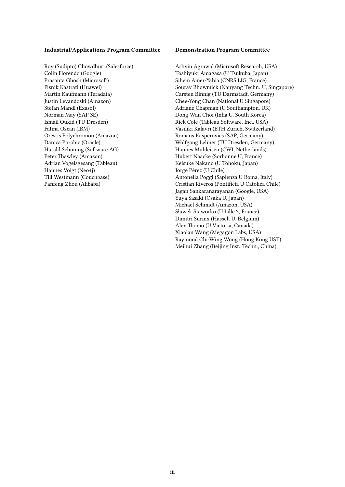### **Industrial/Applications Program Committee**

Roy (Sudipto) Chowdhuri (Salesforce) Colin Florendo (Google) Prasanta Ghosh (Microsoft) Fisnik Kastrati (Huawei) Martin Kaufmann (Teradata) Justin Levandoski (Amazon) Stefan Mandl (Exasol) Norman May (SAP SE) Ismail Oukid (TU Dresden) Fatma Ozcan (IBM) Orestis Polychroniou (Amazon) Danica Porobic (Oracle) Harald Schöning (Software AG) Peter Thawley (Amazon) Adrian Vogelsgesang (Tableau) Hannes Voigt (Neo4j) Till Westmann (Couchbase) Panfeng Zhou (Alibaba)

#### **Demonstration Program Committee**

Ashvin Agrawal (Microsoft Research, USA) Toshiyuki Amagasa (U Tsukuba, Japan) Sihem Amer-Yahia (CNRS LIG, France) Sourav Bhowmick (Nanyang Techn. U, Singapore) Carsten Binnig (TU Darmstadt, Germany) Chee-Yong Chan (National U Singapore) Adriane Chapman (U Southampton, UK) Dong-Wan Choi (Inha U, South Korea) Rick Cole (Tableau Software, Inc., USA) Vasiliki Kalavri (ETH Zurich, Switzerland) Romans Kasperovics (SAP, Germany) Wolfgang Lehner (TU Dresden, Germany) Hannes Mühleisen (CWI, Netherlands) Hubert Naacke (Sorbonne U, France) Keisuke Nakano (U Tohoku, Japan) Jorge Pérez (U Chile) Antonella Poggi (Sapienza U Roma, Italy) Cristian Riveros (Pontificia U Catolica Chile) Jagan Sankaranarayanan (Google, USA) Yuya Sasaki (Osaka U, Japan) Michael Schmidt (Amazon, USA) Sławek Staworko (U Lille 3, France) Dimitri Surinx (Hasselt U, Belgium) Alex Thomo (U Victoria, Canada) Xiaolan Wang (Megagon Labs, USA) Raymond Chi-Wing Wong (Hong Kong UST) Meihui Zhang (Beijing Inst. Techn., China)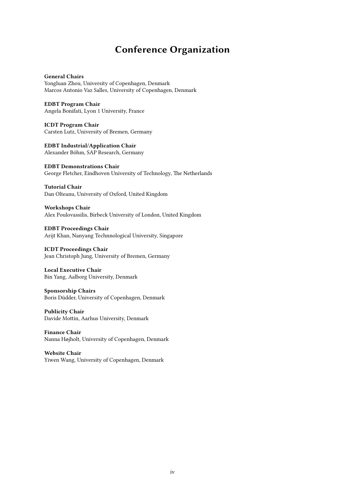# **Conference Organization**

<span id="page-5-0"></span>**General Chairs** Yongluan Zhou, University of Copenhagen, Denmark Marcos Antonio Vaz Salles, University of Copenhagen, Denmark

**EDBT Program Chair** Angela Bonifati, Lyon 1 University, France

**ICDT Program Chair** Carsten Lutz, University of Bremen, Germany

**EDBT Industrial/Application Chair** Alexander Böhm, SAP Research, Germany

**EDBT Demonstrations Chair** George Fletcher, Eindhoven University of Technology, The Netherlands

**Tutorial Chair** Dan Olteanu, University of Oxford, United Kingdom

**Workshops Chair** Alex Poulovassilis, Birbeck University of London, United Kingdom

**EDBT Proceedings Chair** Arijt Khan, Nanyang Technnological University, Singapore

**ICDT Proceedings Chair** Jean Christoph Jung, University of Bremen, Germany

**Local Executive Chair** Bin Yang, Aalborg University, Denmark

**Sponsorship Chairs** Boris Düdder, University of Copenhagen, Denmark

**Publicity Chair** Davide Mottin, Aarhus University, Denmark

**Finance Chair** Nanna Højholt, University of Copenhagen, Denmark

**Website Chair** Yiwen Wang, University of Copenhagen, Denmark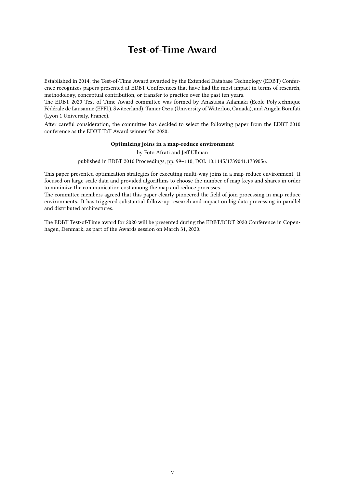## **Test-of-Time Award**

<span id="page-6-0"></span>Established in 2014, the Test-of-Time Award awarded by the Extended Database Technology (EDBT) Conference recognizes papers presented at EDBT Conferences that have had the most impact in terms of research, methodology, conceptual contribution, or transfer to practice over the past ten years.

The EDBT 2020 Test of Time Award committee was formed by Anastasia Ailamaki (Ecole Polytechnique Fédérale de Lausanne (EPFL), Switzerland), Tamer Oszu (University of Waterloo, Canada), and Angela Bonifati (Lyon 1 University, France).

After careful consideration, the committee has decided to select the following paper from the EDBT 2010 conference as the EDBT ToT Award winner for 2020:

### **Optimizing joins in a map-reduce environment**

### by Foto Afrati and Jeff Ullman

published in EDBT 2010 Proceedings, pp. 99–110, [DOI: 10.1145/1739041.1739056.](http://doi.acm.org/10.1145/1739041.1739056)

This paper presented optimization strategies for executing multi-way joins in a map-reduce environment. It focused on large-scale data and provided algorithms to choose the number of map-keys and shares in order to minimize the communication cost among the map and reduce processes.

The committee members agreed that this paper clearly pioneered the field of join processing in map-reduce environments. It has triggered substantial follow-up research and impact on big data processing in parallel and distributed architectures.

The EDBT Test-of-Time award for 2020 will be presented during the [EDBT/ICDT 2020 Conference](https://diku-dk.github.io/edbticdt2020/) in Copenhagen, Denmark, as part of the Awards session on March 31, 2020.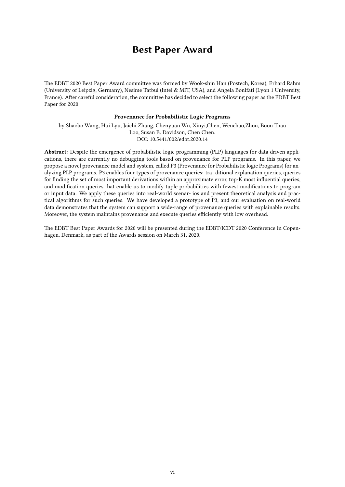### **Best Paper Award**

<span id="page-7-0"></span>The EDBT 2020 Best Paper Award committee was formed by Wook-shin Han (Postech, Korea), Erhard Rahm (University of Leipzig, Germany), Nesime Tatbul (Intel & MIT, USA), and Angela Bonifati (Lyon 1 University, France). After careful consideration, the committee has decided to select the following paper as the EDBT Best Paper for 2020:

### **Provenance for Probabilistic Logic Programs**

by Shaobo Wang, Hui Lyu, Jaichi Zhang, Chenyuan Wu, Xinyi,Chen, Wenchao,Zhou, Boon Thau Loo, Susan B. Davidson, Chen Chen. DOI: [10.5441/002/edbt.2020.14](http://dx.doi.org/10.5441/002/edbt.2020.14)

**Abstract:** Despite the emergence of probabilistic logic programming (PLP) languages for data driven applications, there are currently no debugging tools based on provenance for PLP programs. In this paper, we propose a novel provenance model and system, called P3 (Provenance for Probabilistic logic Programs) for analyzing PLP programs. P3 enables four types of provenance queries: tra- ditional explanation queries, queries for finding the set of most important derivations within an approximate error, top-K most influential queries, and modification queries that enable us to modify tuple probabilities with fewest modifications to program or input data. We apply these queries into real-world scenar- ios and present theoretical analysis and practical algorithms for such queries. We have developed a prototype of P3, and our evaluation on real-world data demonstrates that the system can support a wide-range of provenance queries with explainable results. Moreover, the system maintains provenance and execute queries efficiently with low overhead.

The EDBT Best Paper Awards for 2020 will be presented during the [EDBT/ICDT 2020 Conference](https://diku-dk.github.io/edbticdt2020/) in Copenhagen, Denmark, as part of the Awards session on March 31, 2020.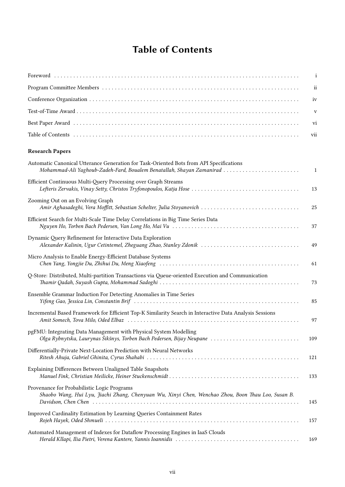# **Table of Contents**

<span id="page-8-0"></span>

|                                                                                                                                                                  | $\mathbf{i}$  |
|------------------------------------------------------------------------------------------------------------------------------------------------------------------|---------------|
|                                                                                                                                                                  | $\mathbf{ii}$ |
|                                                                                                                                                                  | iv            |
|                                                                                                                                                                  | $\mathbf{V}$  |
|                                                                                                                                                                  | vi            |
|                                                                                                                                                                  | vii           |
| <b>Research Papers</b>                                                                                                                                           |               |
| Automatic Canonical Utterance Generation for Task-Oriented Bots from API Specifications<br>Mohammad-Ali Yaghoub-Zadeh-Fard, Boualem Benatallah, Shayan Zamanirad | $\mathbf{1}$  |
| Efficient Continuous Multi-Query Processing over Graph Streams                                                                                                   | 13            |
| Zooming Out on an Evolving Graph                                                                                                                                 | 25            |
| Efficient Search for Multi-Scale Time Delay Correlations in Big Time Series Data                                                                                 | 37            |
| Dynamic Query Refinement for Interactive Data Exploration<br>Alexander Kalinin, Ugur Cetintemel, Zheguang Zhao, Stanley Zdonik                                   | 49            |
| Micro Analysis to Enable Energy-Efficient Database Systems                                                                                                       | 61            |
| Q-Store: Distributed, Multi-partition Transactions via Queue-oriented Execution and Communication                                                                | 73            |
| Ensemble Grammar Induction For Detecting Anomalies in Time Series                                                                                                | 85            |
| Incremental Based Framework for Efficient Top-K Similarity Search in Interactive Data Analysis Sessions                                                          | 97            |
| pgFMU: Integrating Data Management with Physical System Modelling<br>Olga Rybnytska, Laurynas Šikšnys, Torben Bach Pedersen, Bijay Neupane                       | 109           |
| Differentially-Private Next-Location Prediction with Neural Networks                                                                                             | 121           |
| Explaining Differences Between Unaligned Table Snapshots                                                                                                         | 133           |
| Provenance for Probabilistic Logic Programs<br>Shaobo Wang, Hui Lyu, Jiachi Zhang, Chenyuan Wu, Xinyi Chen, Wenchao Zhou, Boon Thau Loo, Susan B.                | 145           |
| Improved Cardinality Estimation by Learning Queries Containment Rates                                                                                            | 157           |
| Automated Management of Indexes for Dataflow Processing Engines in IaaS Clouds                                                                                   | 169           |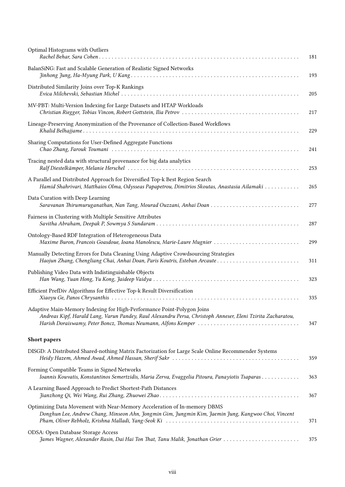| Optimal Histograms with Outliers                                                                                                                                                      | 181 |
|---------------------------------------------------------------------------------------------------------------------------------------------------------------------------------------|-----|
| BalanSiNG: Fast and Scalable Generation of Realistic Signed Networks                                                                                                                  | 193 |
| Distributed Similarity Joins over Top-K Rankings                                                                                                                                      | 205 |
| MV-PBT: Multi-Version Indexing for Large Datasets and HTAP Workloads                                                                                                                  | 217 |
| Lineage-Preserving Anonymization of the Provenance of Collection-Based Workflows                                                                                                      | 229 |
| Sharing Computations for User-Defined Aggregate Functions                                                                                                                             | 241 |
| Tracing nested data with structural provenance for big data analytics                                                                                                                 | 253 |
| A Parallel and Distributed Approach for Diversified Top-k Best Region Search<br>Hamid Shahrivari, Matthaios Olma, Odysseas Papapetrou, Dimitrios Skoutas, Anastasia Ailamaki          | 265 |
| Data Curation with Deep Learning<br>Saravanan Thirumuruganathan, Nan Tang, Mourad Ouzzani, Anhai Doan                                                                                 | 277 |
| Fairness in Clustering with Multiple Sensitive Attributes                                                                                                                             | 287 |
| Ontology-Based RDF Integration of Heterogeneous Data<br>Maxime Buron, Francois Goasdoue, Ioana Manolescu, Marie-Laure Mugnier                                                         | 299 |
| Manually Detecting Errors for Data Cleaning Using Adaptive Crowdsourcing Strategies                                                                                                   | 311 |
| Publishing Video Data with Indistinguishable Objects                                                                                                                                  | 323 |
| Efficient PrefDiv Algorithms for Effective Top-k Result Diversification                                                                                                               | 335 |
| Adaptive Main-Memory Indexing for High-Performance Point-Polygon Joins<br>Andreas Kipf, Harald Lang, Varun Pandey, Raul Alexandru Persa, Christoph Anneser, Eleni Tzirita Zacharatou, | 347 |
| <b>Short papers</b>                                                                                                                                                                   |     |
| DISGD: A Distributed Shared-nothing Matrix Factorization for Large Scale Online Recommender Systems                                                                                   | 359 |
| Forming Compatible Teams in Signed Networks<br>Ioannis Kouvatis, Konstantinos Semertzidis, Maria Zerva, Evaggelia Pitoura, Panayiotis Tsaparas                                        | 363 |
| A Learning Based Approach to Predict Shortest-Path Distances                                                                                                                          | 367 |
| Optimizing Data Movement with Near-Memory Acceleration of In-memory DBMS<br>Donghun Lee, Andrew Chang, Minseon Ahn, Jongmin Gim, Jungmin Kim, Jaemin Jung, Kangwoo Choi, Vincent      | 371 |
| ODSA: Open Database Storage Access<br>James Wagner, Alexander Rasin, Dai Hai Ton That, Tanu Malik, Jonathan Grier                                                                     | 375 |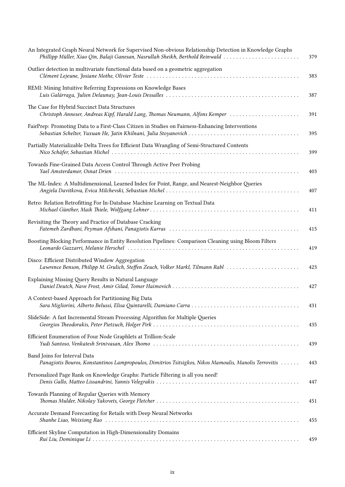| An Integrated Graph Neural Network for Supervised Non-obvious Relationship Detection in Knowledge Graphs<br>Phillipp Müller, Xiao Qin, Balaji Ganesan, Nasrullah Sheikh, Berthold Reinwald | 379 |
|--------------------------------------------------------------------------------------------------------------------------------------------------------------------------------------------|-----|
| Outlier detection in multivariate functional data based on a geometric aggregation                                                                                                         | 383 |
| REMI: Mining Intuitive Referring Expressions on Knowledge Bases                                                                                                                            | 387 |
| The Case for Hybrid Succinct Data Structures<br>Christoph Anneser, Andreas Kipf, Harald Lang, Thomas Neumann, Alfons Kemper                                                                | 391 |
| FairPrep: Promoting Data to a First-Class Citizen in Studies on Fairness-Enhancing Interventions                                                                                           | 395 |
| Partially Materializable Delta Trees for Efficient Data Wrangling of Semi-Structured Contents                                                                                              | 399 |
| Towards Fine-Grained Data Access Control Through Active Peer Probing                                                                                                                       | 403 |
| The ML-Index: A Multidimensional, Learned Index for Point, Range, and Nearest-Neighbor Queries                                                                                             | 407 |
| Retro: Relation Retrofitting For In-Database Machine Learning on Textual Data                                                                                                              | 411 |
| Revisiting the Theory and Practice of Database Cracking                                                                                                                                    | 415 |
| Boosting Blocking Performance in Entity Resolution Pipelines: Comparison Cleaning using Bloom Filters                                                                                      | 419 |
| Disco: Efficient Distributed Window Aggregation<br>Lawrence Benson, Philipp M. Grulich, Steffen Zeuch, Volker Markl, Tilmann Rabl                                                          | 423 |
| Explaining Missing Query Results in Natural Language                                                                                                                                       | 427 |
| A Context-based Approach for Partitioning Big Data                                                                                                                                         | 431 |
| SlideSide: A fast Incremental Stream Processing Algorithm for Multiple Queries                                                                                                             | 435 |
| Efficient Enumeration of Four Node Graphlets at Trillion-Scale                                                                                                                             | 439 |
| Band Joins for Interval Data<br>Panagiotis Bouros, Konstantinos Lampropoulos, Dimitrios Tsitsigkos, Nikos Mamoulis, Manolis Terrovitis                                                     | 443 |
| Personalized Page Rank on Knowledge Graphs: Particle Filtering is all you need!                                                                                                            | 447 |
| Towards Planning of Regular Queries with Memory                                                                                                                                            | 451 |
| Accurate Demand Forecasting for Retails with Deep Neural Networks                                                                                                                          | 455 |
| Efficient Skyline Computation in High-Dimensionality Domains                                                                                                                               | 459 |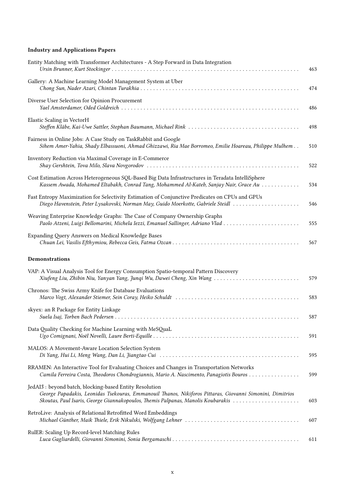### **[Industry and Applications Papers](#page--1-0)**

| Entity Matching with Transformer Architectures - A Step Forward in Data Integration                                                                                                                                                                     | 463 |
|---------------------------------------------------------------------------------------------------------------------------------------------------------------------------------------------------------------------------------------------------------|-----|
| Gallery: A Machine Learning Model Management System at Uber                                                                                                                                                                                             | 474 |
| Diverse User Selection for Opinion Procurement                                                                                                                                                                                                          | 486 |
| Elastic Scaling in VectorH                                                                                                                                                                                                                              | 498 |
| Fairness in Online Jobs: A Case Study on TaskRabbit and Google<br>Sihem Amer-Yahia, Shady Elbassuoni, Ahmad Ghizzawi, Ria Mae Borromeo, Emilie Hoareau, Philippe Mulhem                                                                                 | 510 |
| Inventory Reduction via Maximal Coverage in E-Commerce                                                                                                                                                                                                  | 522 |
| Cost Estimation Across Heterogeneous SQL-Based Big Data Infrastructures in Teradata IntelliSphere<br>Kassem Awada, Mohamed Eltabakh, Conrad Tang, Mohammed Al-Kateb, Sanjay Nair, Grace Au                                                              | 534 |
| Fast Entropy Maximization for Selectivity Estimation of Conjunctive Predicates on CPUs and GPUs<br>Diego Havenstein, Peter Lysakovski, Norman May, Guido Moerkotte, Gabriele Steidl                                                                     | 546 |
| Weaving Enterprise Knowledge Graphs: The Case of Company Ownership Graphs                                                                                                                                                                               | 555 |
| Expanding Query Answers on Medical Knowledge Bases                                                                                                                                                                                                      | 567 |
| <b>Demonstrations</b>                                                                                                                                                                                                                                   |     |
| VAP: A Visual Analysis Tool for Energy Consumption Spatio-temporal Pattern Discovery<br>Xiufeng Liu, Zhibin Niu, Yanyan Yang, Junqi Wu, Dawei Cheng, Xin Wang                                                                                           | 579 |
| Chronos: The Swiss Army Knife for Database Evaluations                                                                                                                                                                                                  | 583 |
| skyex: an R Package for Entity Linkage                                                                                                                                                                                                                  | 587 |
| Data Quality Checking for Machine Learning with MeSQuaL                                                                                                                                                                                                 | 591 |
| MALOS: A Movement-Aware Location Selection System                                                                                                                                                                                                       | 595 |
| RRAMEN: An Interactive Tool for Evaluating Choices and Changes in Transportation Networks<br>Camila Ferreira Costa, Theodoros Chondrogiannis, Mario A. Nascimento, Panagiotis Bouros                                                                    | 599 |
| JedAI3 : beyond batch, blocking-based Entity Resolution<br>George Papadakis, Leonidas Tsekouras, Emmanouil Thanos, Nikiforos Pittaras, Giovanni Simonini, Dimitrios<br>Skoutas, Paul Isaris, George Giannakopoulos, Themis Palpanas, Manolis Koubarakis | 603 |
| RetroLive: Analysis of Relational Retrofitted Word Embeddings                                                                                                                                                                                           | 607 |
| RulER: Scaling Up Record-level Matching Rules                                                                                                                                                                                                           | 611 |